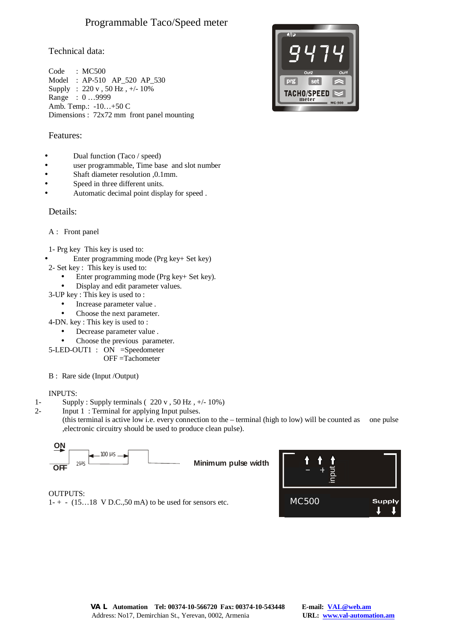# Programmable Taco/Speed meter

# Technical data:

Code : MC500 Model : AP-510 AP\_520 AP\_530 Supply : 220 v , 50 Hz , +/- 10% Range : 0 …9999 Amb. Temp.: -10…+50 C Dimensions : 72x72 mm front panel mounting

# Features:

- Dual function (Taco / speed)
- user programmable, Time base and slot number
- Shaft diameter resolution ,0.1mm.
- Speed in three different units.
- Automatic decimal point display for speed .

# Details:

### A : Front panel

- 1- Prg key This key is used to:
- Enter programming mode (Prg key+ Set key) 2- Set key : This key is used to:
	- Enter programming mode (Prg key+ Set key).
	- Display and edit parameter values.
	- 3-UP key : This key is used to :
		- Increase parameter value .
		- Choose the next parameter.
	- 4-DN. key : This key is used to :
		- Decrease parameter value .
		- Choose the previous parameter.
	- 5-LED-OUT1 : ON =Speedometer
		- OFF =Tachometer
	- B : Rare side (Input /Output)

#### INPUTS:

- 1- Supply : Supply terminals  $(220 \text{ v}, 50 \text{ Hz}, +/- 10\%)$
- 2- Input 1 : Terminal for applying Input pulses. (this terminal is active low i.e. every connection to the – terminal (high to low) will be counted as one pulse ,electronic circuitry should be used to produce clean pulse).



OUTPUTS:  $1 - + - (15...18 \text{ V D.C.}, 50 \text{ mA})$  to be used for sensors etc.